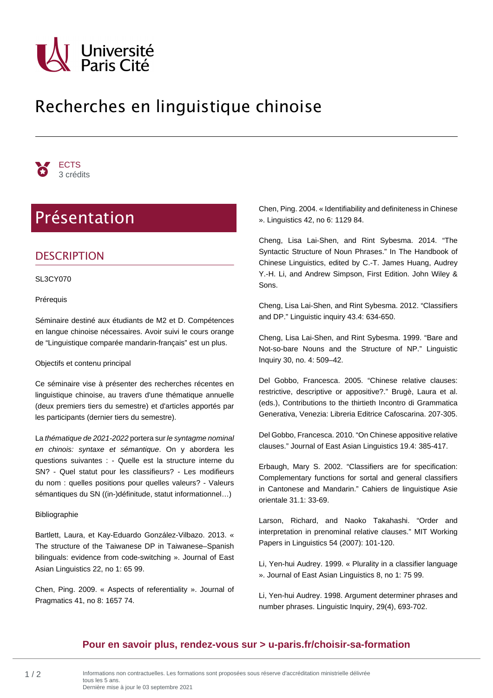

# Recherches en linguistique chinoise



# Présentation

## **DESCRIPTION**

SL3CY070

Prérequis

Séminaire destiné aux étudiants de M2 et D. Compétences en langue chinoise nécessaires. Avoir suivi le cours orange de "Linguistique comparée mandarin-français" est un plus.

#### Objectifs et contenu principal

Ce séminaire vise à présenter des recherches récentes en linguistique chinoise, au travers d'une thématique annuelle (deux premiers tiers du semestre) et d'articles apportés par les participants (dernier tiers du semestre).

La thématique de 2021-2022 portera sur le syntagme nominal en chinois: syntaxe et sémantique. On y abordera les questions suivantes : - Quelle est la structure interne du SN? - Quel statut pour les classifieurs? - Les modifieurs du nom : quelles positions pour quelles valeurs? - Valeurs sémantiques du SN ((in-)définitude, statut informationnel…)

#### Bibliographie

Bartlett, Laura, et Kay-Eduardo González-Vilbazo. 2013. « The structure of the Taiwanese DP in Taiwanese–Spanish bilinguals: evidence from code-switching ». Journal of East Asian Linguistics 22, no 1: 65 99.

Chen, Ping. 2009. « Aspects of referentiality ». Journal of Pragmatics 41, no 8: 1657 74.

Chen, Ping. 2004. « Identifiability and definiteness in Chinese ». Linguistics 42, no 6: 1129 84.

Cheng, Lisa Lai-Shen, and Rint Sybesma. 2014. "The Syntactic Structure of Noun Phrases." In The Handbook of Chinese Linguistics, edited by C.-T. James Huang, Audrey Y.-H. Li, and Andrew Simpson, First Edition. John Wiley & Sons.

Cheng, Lisa Lai-Shen, and Rint Sybesma. 2012. "Classifiers and DP." Linguistic inquiry 43.4: 634-650.

Cheng, Lisa Lai-Shen, and Rint Sybesma. 1999. "Bare and Not-so-bare Nouns and the Structure of NP." Linguistic Inquiry 30, no. 4: 509–42.

Del Gobbo, Francesca. 2005. "Chinese relative clauses: restrictive, descriptive or appositive?." Brugè, Laura et al. (eds.), Contributions to the thirtieth Incontro di Grammatica Generativa, Venezia: Libreria Editrice Cafoscarina. 207-305.

Del Gobbo, Francesca. 2010. "On Chinese appositive relative clauses." Journal of East Asian Linguistics 19.4: 385-417.

Erbaugh, Mary S. 2002. "Classifiers are for specification: Complementary functions for sortal and general classifiers in Cantonese and Mandarin." Cahiers de linguistique Asie orientale 31.1: 33-69.

Larson, Richard, and Naoko Takahashi. "Order and interpretation in prenominal relative clauses." MIT Working Papers in Linguistics 54 (2007): 101-120.

Li, Yen-hui Audrey. 1999. « Plurality in a classifier language ». Journal of East Asian Linguistics 8, no 1: 75 99.

Li, Yen-hui Audrey. 1998. Argument determiner phrases and number phrases. Linguistic Inquiry, 29(4), 693-702.

### **[Pour en savoir plus, rendez-vous sur > u-paris.fr/choisir-sa-formation](https://u-paris.fr/choisir-sa-formation/)**